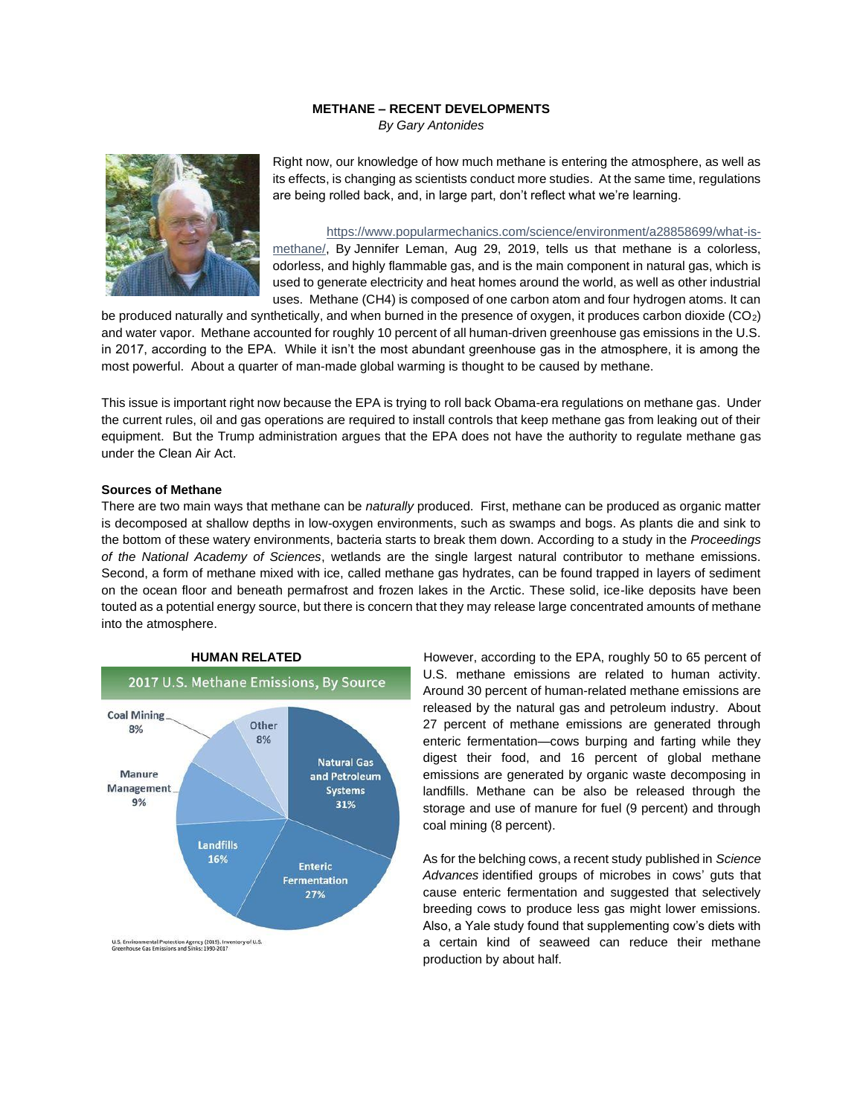## **METHANE – RECENT DEVELOPMENTS**

*By Gary Antonides*



Right now, our knowledge of how much methane is entering the atmosphere, as well as its effects, is changing as scientists conduct more studies. At the same time, regulations are being rolled back, and, in large part, don't reflect what we're learning.

[https://www.popularmechanics.com/science/environment/a28858699/what-is](https://www.popularmechanics.com/science/environment/a28858699/what-is-methane/)[methane/,](https://www.popularmechanics.com/science/environment/a28858699/what-is-methane/) By [Jennifer Leman,](https://www.popularmechanics.com/author/223553/jennifer-leman/) Aug 29, 2019, tells us that methane is a colorless, odorless, and highly flammable gas, and is the main component in natural gas, which is used to generate electricity and heat homes around the world, as well as other industrial uses. Methane (CH4) is composed of one carbon atom and four hydrogen atoms. It can

be produced naturally and synthetically, and when burned in the presence of oxygen, it produces carbon dioxide (CO2) and water vapor. Methane accounted for roughly 10 percent of all human-driven greenhouse gas emissions in the U.S. in 2017, according to the EPA. While it isn't the most abundant greenhouse gas in the atmosphere, it is among the most powerful. About a quarter of man-made global warming is thought to be caused by methane.

This issue is important right now because the EPA is trying to [roll back Obama-era regulations on methane gas.](https://www.epa.gov/sites/production/files/2019-08/documents/frn_oil_and_gas_review_2060-at90_nprm_20190828revised_d.pdf) Under the current rules, oil and gas operations are required to install controls that keep methane gas from leaking out of their equipment. But the Trump administration argues that the EPA does not have the authority to regulate methane gas under the [Clean Air Act.](https://www.epa.gov/clean-air-act-overview)

#### **Sources of Methane**

There are two main ways that methane can be *naturally* produced. First, methane can be produced as organic matter is decomposed at shallow depths in low-oxygen environments, such as swamps and bogs. As plants die and sink to the bottom of these watery environments, bacteria starts to break them down. According to a study in the *[Proceedings](https://www.pnas.org/content/114/36/9647)  [of the National Academy of Sciences](https://www.pnas.org/content/114/36/9647)*, wetlands are the single largest natural contributor to methane emissions. Second, a form of methane mixed with ice, called methane gas hydrates, can be found trapped in layers of sediment on the ocean floor and beneath permafrost and frozen lakes in the Arctic. These solid, ice-like deposits have been touted as a potential energy source, but there is concern that they may release large [concentrated amounts of methane](https://go.redirectingat.com/?id=74968X1525083&xs=1&url=https%3A%2F%2Fwww.nature.com%2Fscitable%2Fknowledge%2Flibrary%2Fmethane-hydrates-and-contemporary-climate-change-24314790%2F&sref=https%3A%2F%2Fwww.popularmechanics.com%2Fscience%2Fenvironment%2Fa28858699%2Fwhat-is-methane%2F%3Fpre%3Dscience%252Fenvironment%252F%26prefix%3Da%26id%3D28858699%26del%3D%26variantId%3D%26post%3D%252Fwhat-is-methane)  [into the atmosphere.](https://go.redirectingat.com/?id=74968X1525083&xs=1&url=https%3A%2F%2Fwww.nature.com%2Fscitable%2Fknowledge%2Flibrary%2Fmethane-hydrates-and-contemporary-climate-change-24314790%2F&sref=https%3A%2F%2Fwww.popularmechanics.com%2Fscience%2Fenvironment%2Fa28858699%2Fwhat-is-methane%2F%3Fpre%3Dscience%252Fenvironment%252F%26prefix%3Da%26id%3D28858699%26del%3D%26variantId%3D%26post%3D%252Fwhat-is-methane)



**HUMAN RELATED However, according to the [EPA,](https://www.epa.gov/ghgemissions/overview-greenhouse-gases#CH4-reference) roughly 50 to 65 percent of** U.S. methane emissions are related to human activity. Around 30 percent of human-related methane emissions are released by the natural gas and petroleum industry. About 27 percent of methane emissions are generated through enteric fermentation—cows burping and farting while they digest their food, and 16 percent of global methane emissions are generated by organic waste decomposing in landfills. Methane can be also be released through the storage and use of manure for fuel (9 percent) and through coal mining (8 percent).

> As for the belching cows, a recent study [published in](https://advances.sciencemag.org/content/5/7/eaav8391) *Science [Advances](https://advances.sciencemag.org/content/5/7/eaav8391)* identified groups of microbes in cows' guts that cause enteric fermentation and suggested that selectively breeding cows to produce less gas might lower emissions. Also, a Yale study found that supplementing cow's diets with a certain kind of seaweed can reduce their methane production by about half.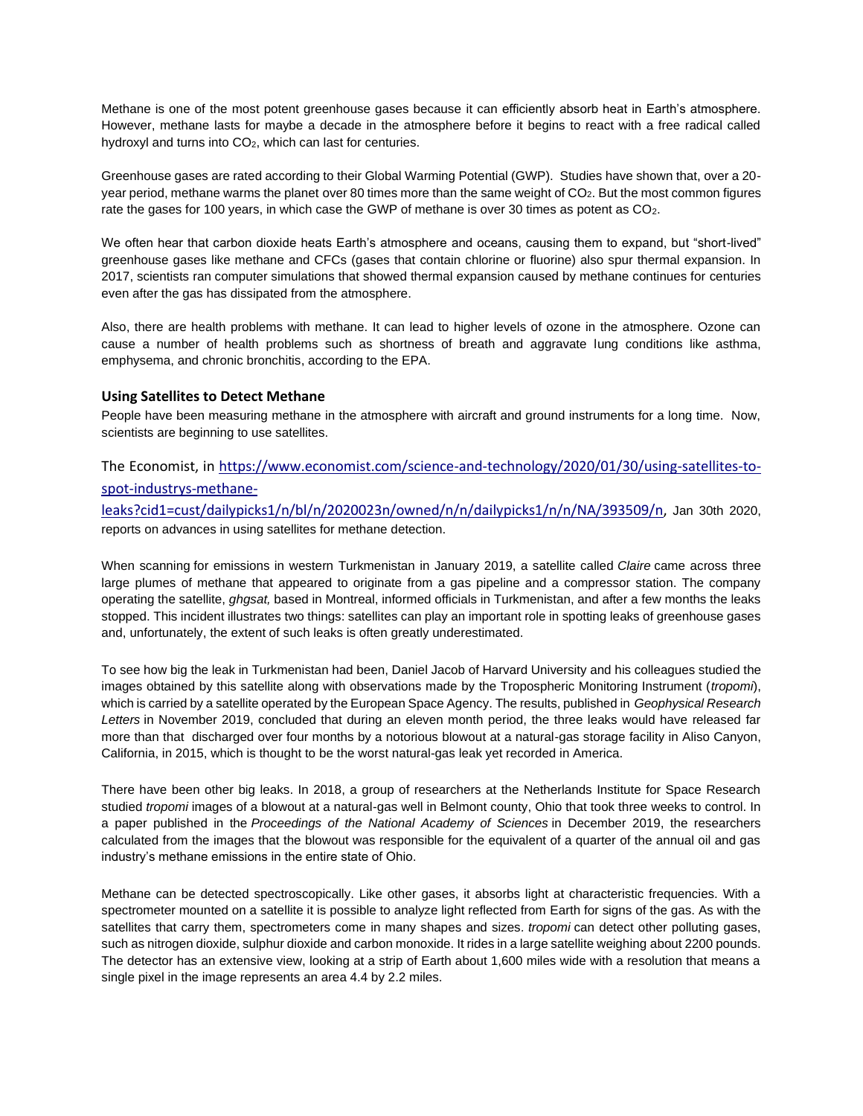Methane is one of the most potent greenhouse gases because it can efficiently absorb heat in Earth's atmosphere. However, methane lasts for maybe a decade in the atmosphere before it begins to react with a free radical called hydroxyl and turns into CO<sub>2</sub>, which can last for centuries.

Greenhouse gases are rated according to their Global Warming Potential (GWP). Studies have shown that, over a 20 year period, methane warms the planet over 80 times more than the same weight of CO2. But the most common figures rate the gases for 100 years, in which case the GWP of methane is over 30 times as potent as CO<sub>2</sub>.

We often hear that carbon dioxide heats Earth's atmosphere and oceans, causing them to expand, but "short-lived" greenhouse gases like methane and CFCs (gases that contain chlorine or fluorine) also spur thermal expansion. In 2017, scientists ran [computer simulations that showed](https://www.pnas.org/content/114/4/657) thermal expansion caused by methane continues for centuries even after the gas has dissipated from the atmosphere.

Also, there are health problems with methane. It can lead to higher levels of ozone in the atmosphere. Ozone can cause a number of health problems such as shortness of breath and aggravate lung conditions like asthma, emphysema, and chronic bronchitis, [according to the EPA.](https://www.epa.gov/ground-level-ozone-pollution/health-effects-ozone-pollution)

# **Using Satellites to Detect Methane**

People have been measuring methane in the atmosphere with aircraft and ground instruments for a long time. Now, scientists are beginning to use satellites.

# The Economist, in [https://www.economist.com/science-and-technology/2020/01/30/using-satellites-to](https://www.economist.com/science-and-technology/2020/01/30/using-satellites-to-spot-industrys-methane-leaks?cid1=cust/dailypicks1/n/bl/n/2020023n/owned/n/n/dailypicks1/n/n/NA/393509/n)[spot-industrys-methane-](https://www.economist.com/science-and-technology/2020/01/30/using-satellites-to-spot-industrys-methane-leaks?cid1=cust/dailypicks1/n/bl/n/2020023n/owned/n/n/dailypicks1/n/n/NA/393509/n)

[leaks?cid1=cust/dailypicks1/n/bl/n/2020023n/owned/n/n/dailypicks1/n/n/NA/393509/n,](https://www.economist.com/science-and-technology/2020/01/30/using-satellites-to-spot-industrys-methane-leaks?cid1=cust/dailypicks1/n/bl/n/2020023n/owned/n/n/dailypicks1/n/n/NA/393509/n) Jan 30th 2020, reports on advances in using satellites for methane detection.

When scanning for emissions in western Turkmenistan in January 2019, a satellite called *Claire* came across three large plumes of methane that appeared to originate from a gas pipeline and a compressor station. The company operating the satellite, *ghgsat,* based in Montreal, informed officials in Turkmenistan, and after a few months the leaks stopped. This incident illustrates two things: satellites can play an important role in spotting leaks of greenhouse gases and, unfortunately, the extent of such leaks is often greatly underestimated.

To see how big the leak in Turkmenistan had been, Daniel Jacob of Harvard University and his colleagues studied the images obtained by this satellite along with observations made by the Tropospheric Monitoring Instrument (*tropomi*), which is carried by a satellite operated by the European Space Agency. The results, published in *Geophysical Research Letters* in November 2019, concluded that during an eleven month period, the three leaks would have released far more than that discharged over four months by a notorious blowout at a natural-gas storage facility in Aliso Canyon, California, in 2015, which is thought to be the worst natural-gas leak yet recorded in America.

There have been other big leaks. In 2018, a group of researchers at the Netherlands Institute for Space Research studied *tropomi* images of a blowout at a natural-gas well in Belmont county, Ohio that took three weeks to control. In a paper published in the *Proceedings of the National Academy of Sciences* in December 2019, the researchers calculated from the images that the blowout was responsible for the equivalent of a quarter of the annual oil and gas industry's methane emissions in the entire state of Ohio.

Methane can be detected spectroscopically. Like other gases, it absorbs light at characteristic frequencies. With a spectrometer mounted on a satellite it is possible to analyze light reflected from Earth for signs of the gas. As with the satellites that carry them, spectrometers come in many shapes and sizes*. tropomi* can detect other polluting gases, such as nitrogen dioxide, sulphur dioxide and carbon monoxide. It rides in a large satellite weighing about 2200 pounds. The detector has an extensive view, looking at a strip of Earth about 1,600 miles wide with a resolution that means a single pixel in the image represents an area 4.4 by 2.2 miles.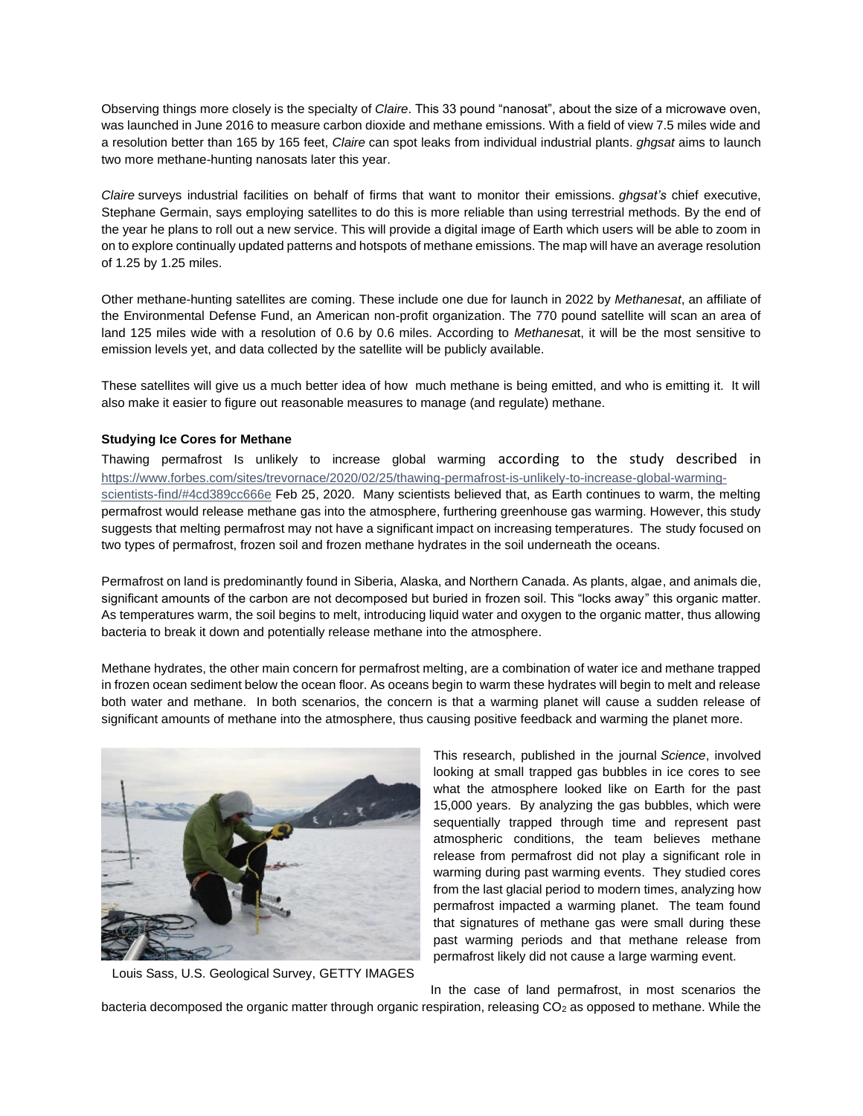Observing things more closely is the specialty of *Claire*. This 33 pound "nanosat", about the size of a microwave oven, was launched in June 2016 to measure carbon dioxide and methane emissions. With a field of view 7.5 miles wide and a resolution better than 165 by 165 feet, *Claire* can spot leaks from individual industrial plants. *ghgsat* aims to launch two more methane-hunting nanosats later this year.

*Claire* surveys industrial facilities on behalf of firms that want to monitor their emissions. *ghgsat's* chief executive, Stephane Germain, says employing satellites to do this is more reliable than using terrestrial methods. By the end of the year he plans to roll out a new service. This will provide a digital image of Earth which users will be able to zoom in on to explore continually updated patterns and hotspots of methane emissions. The map will have an average resolution of 1.25 by 1.25 miles.

Other methane-hunting satellites are coming. These include one due for launch in 2022 by *Methanesat*, an affiliate of the Environmental Defense Fund, an American non-profit organization. The 770 pound satellite will scan an area of land 125 miles wide with a resolution of 0.6 by 0.6 miles. According to *Methanesa*t, it will be the most sensitive to emission levels yet, and data collected by the satellite will be publicly available.

These satellites will give us a much better idea of how much methane is being emitted, and who is emitting it. It will also make it easier to figure out reasonable measures to manage (and regulate) methane.

### **Studying Ice Cores for Methane**

Thawing permafrost Is unlikely to increase global warming according to the study described in [https://www.forbes.com/sites/trevornace/2020/02/25/thawing-permafrost-is-unlikely-to-increase-global-warming](https://www.forbes.com/sites/trevornace/2020/02/25/thawing-permafrost-is-unlikely-to-increase-global-warming-scientists-find/#4cd389cc666e)[scientists-find/#4cd389cc666e](https://www.forbes.com/sites/trevornace/2020/02/25/thawing-permafrost-is-unlikely-to-increase-global-warming-scientists-find/#4cd389cc666e) Feb 25, 2020. Many scientists believed that, as Earth continues to warm, the melting permafrost would release methane gas into the atmosphere, furthering greenhouse gas warming. However, this study suggests that melting permafrost may not have a significant impact on increasing temperatures. The study focused on two types of permafrost, frozen soil and frozen methane hydrates in the soil underneath the oceans.

Permafrost on land is predominantly found in Siberia, Alaska, and Northern Canada. As plants, algae, and animals die, significant amounts of the carbon are not decomposed but buried in frozen soil. This "locks away" this organic matter. As temperatures warm, the soil begins to melt, introducing liquid water and oxygen to the organic matter, thus allowing bacteria to break it down and potentially release methane into the atmosphere.

Methane hydrates, the other main concern for permafrost melting, are a combination of water ice and methane trapped in frozen ocean sediment below the ocean floor. As oceans begin to warm these hydrates will begin to melt and release both water and methane. In both scenarios, the concern is that a warming planet will cause a sudden release of significant amounts of methane into the atmosphere, thus causing positive feedback and warming the planet more.



Louis Sass, U.S. Geological Survey, GETTY IMAGES

This research, published in the journal *[Science](https://science.sciencemag.org/content/367/6480/907)*, involved looking at small trapped gas bubbles in ice cores to see what the atmosphere looked like on Earth for the past 15,000 years. By analyzing the gas bubbles, which were sequentially trapped through time and represent past atmospheric conditions, the team believes methane release from permafrost did not play a significant role in warming during past warming events. They studied cores from the last glacial period to modern times, analyzing how permafrost impacted a warming planet. The team found that signatures of methane gas were small during these past warming periods and that methane release from permafrost likely did not cause a large warming event.

 In the case of land permafrost, in most scenarios the bacteria decomposed the organic matter through organic respiration, releasing CO<sub>2</sub> as opposed to methane. While the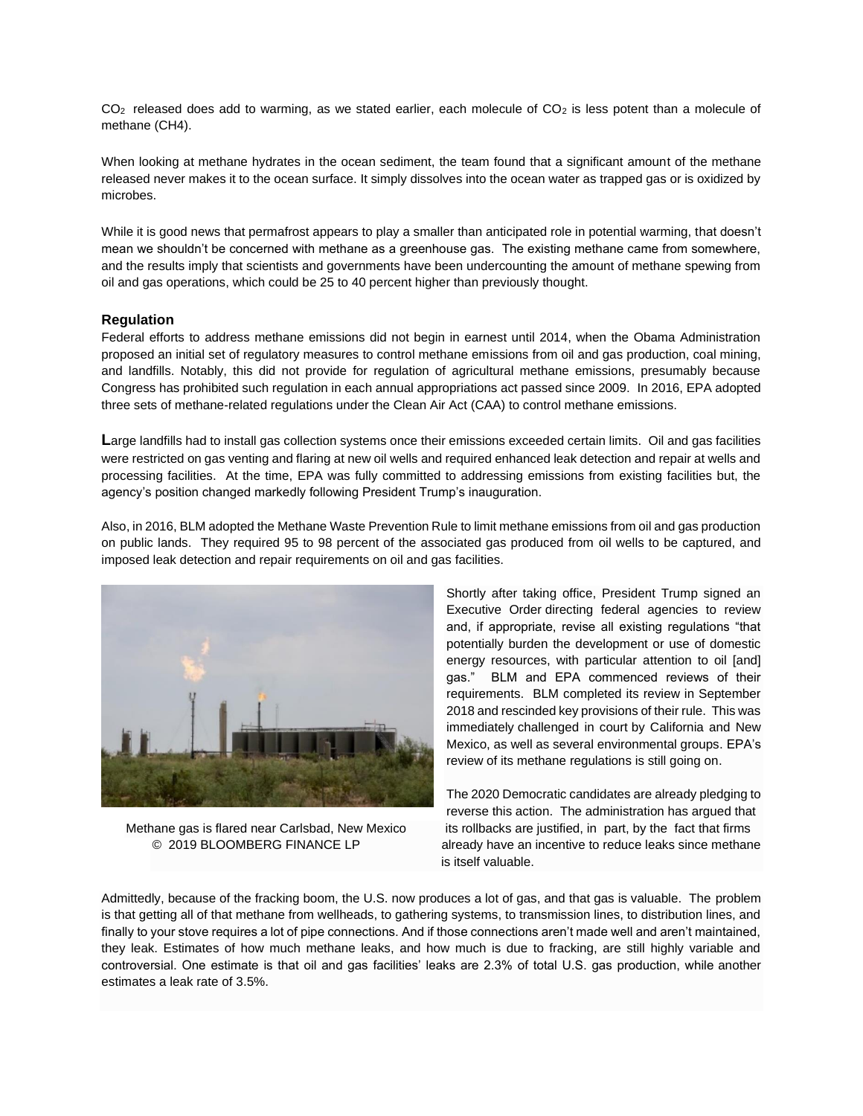$CO<sub>2</sub>$  released does add to warming, as we stated earlier, each molecule of  $CO<sub>2</sub>$  is less potent than a molecule of methane (CH4).

When looking at methane hydrates in the ocean sediment, the team found that a significant amount of the methane released never makes it to the ocean surface. It simply dissolves into the ocean water as trapped gas or is oxidized by microbes.

While it is good news that permafrost appears to play a smaller than anticipated role in potential warming, that doesn't mean we shouldn't be concerned with methane as a greenhouse gas. The existing methane came from somewhere, and the results imply that scientists and governments have been undercounting the amount of methane spewing from oil and gas operations, which could be 25 to 40 percent higher than previously thought.

# **Regulation**

Federal efforts to address methane emissions did not begin in earnest until 2014, when the Obama Administration proposed an initial set of regulatory measures to control methane emissions from oil and gas production, coal mining, and landfills. Notably, this did not provide for regulation of agricultural methane emissions, presumably because Congress has prohibited such regulation in each annual appropriations act passed since 2009. In 2016, EPA adopted three sets of methane-related regulations under the Clean Air Act (CAA) to control methane emissions.

Large landfills had to install gas collection systems once their emissions exceeded certain limits. Oil and gas facilities were restricted on gas venting and flaring at new oil wells and required enhanced leak detection and repair at wells and processing facilities. At the time, EPA was fully committed to addressing emissions from existing facilities but, the agency's position changed markedly following President Trump's inauguration.

Also, in 2016, BLM adopted the Methane Waste Prevention Rule to limit methane emissions from oil and gas production on public lands. They required 95 to 98 percent of the associated gas produced from oil wells to be captured, and imposed leak detection and repair requirements on oil and gas facilities.



Shortly after taking office, President Trump signed an Executive Order directing federal agencies to review and, if appropriate, revise all existing regulations "that potentially burden the development or use of domestic energy resources, with particular attention to oil [and] gas." BLM and EPA commenced reviews of their requirements. BLM completed its review in September 2018 and rescinded key provisions of their rule. This was immediately [challenged](http://climatecasechart.com/case/california-v-zinke/) in court by California and New Mexico, as well as several environmental groups. EPA's review of its methane regulations is still going on.

The 2020 Democratic candidates are already pledging to reverse this action. The administration has argued that Methane gas is flared near Carlsbad, New Mexico its rollbacks are justified, in part, by the fact that firms © 2019 BLOOMBERG FINANCE LP already have an incentive to reduce leaks since methane is itself valuable.

Admittedly, because of the fracking boom, the U.S. now produces a lot of gas, and that gas is valuable. The problem is that getting all of that methane from wellheads, to gathering systems, to transmission lines, to distribution lines, and finally to your stove requires a lot of pipe connections. And if those connections aren't made well and aren't maintained, they leak. Estimates of how much methane leaks, and how much is due to fracking, are still highly variable and controversial. One estimate is that oil and gas facilities' leaks are 2.3% of total U.S. gas production, while another estimates a leak rate of 3.5%.